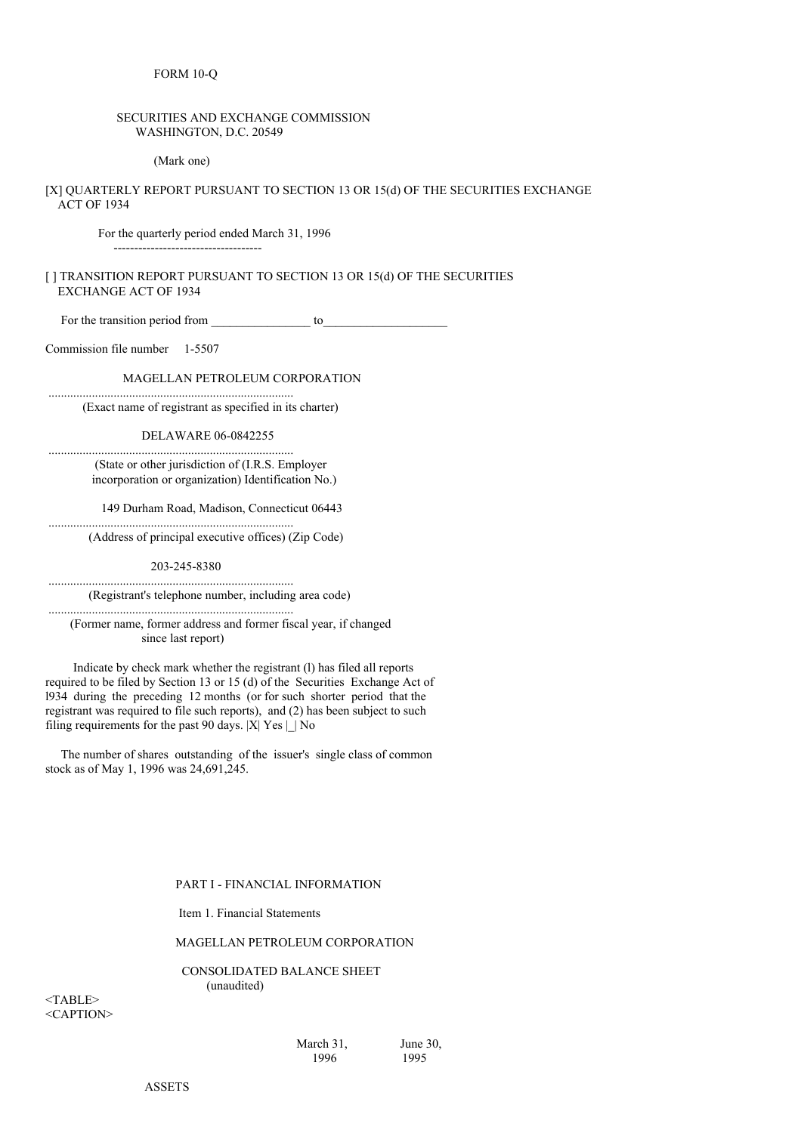# SECURITIES AND EXCHANGE COMMISSION WASHINGTON, D.C. 20549

(Mark one)

[X] QUARTERLY REPORT PURSUANT TO SECTION 13 OR 15(d) OF THE SECURITIES EXCHANGE ACT OF 1934

For the quarterly period ended March 31, 1996

------------------------------------

# [ ] TRANSITION REPORT PURSUANT TO SECTION 13 OR 15(d) OF THE SECURITIES EXCHANGE ACT OF 1934

For the transition period from \_\_\_\_\_\_\_\_\_\_\_\_\_\_\_\_ to\_\_\_\_\_\_\_\_\_\_\_\_\_\_\_\_\_\_\_\_

Commission file number 1-5507

MAGELLAN PETROLEUM CORPORATION

(Exact name of registrant as specified in its charter)

...............................................................................

DELAWARE 06-0842255

............................................................................... (State or other jurisdiction of (I.R.S. Employer incorporation or organization) Identification No.)

149 Durham Road, Madison, Connecticut 06443

(Address of principal executive offices) (Zip Code)

203-245-8380

...............................................................................

...............................................................................

...............................................................................

(Registrant's telephone number, including area code)

(Former name, former address and former fiscal year, if changed since last report)

Indicate by check mark whether the registrant (l) has filed all reports required to be filed by Section 13 or 15 (d) of the Securities Exchange Act of l934 during the preceding 12 months (or for such shorter period that the registrant was required to file such reports), and (2) has been subject to such filing requirements for the past 90 days.  $|X|$  Yes  $| \cdot |$  No

The number of shares outstanding of the issuer's single class of common stock as of May 1, 1996 was 24,691,245.

PART I - FINANCIAL INFORMATION

Item 1. Financial Statements

MAGELLAN PETROLEUM CORPORATION

CONSOLIDATED BALANCE SHEET (unaudited)

 $<$ TABLE $>$ <CAPTION>

> March 31, June 30, 1996 1995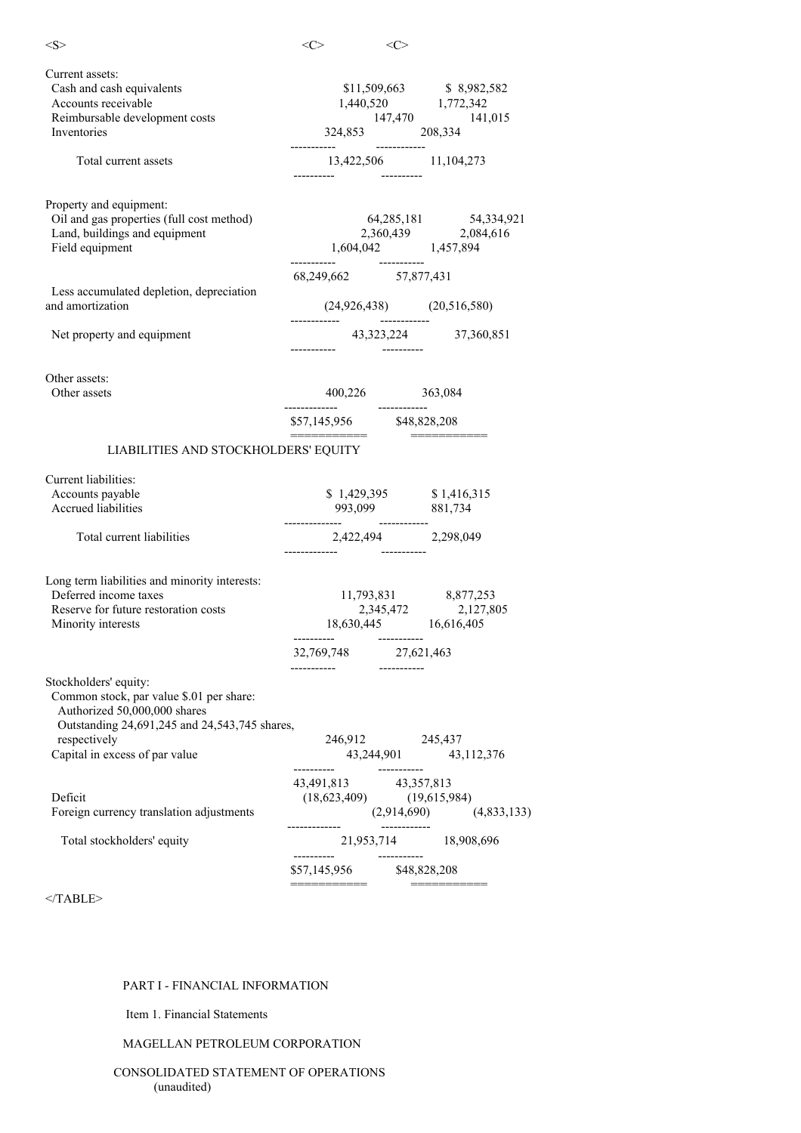| $<\!\!S\!\!>$                                                                                                                                                                                        | $<\!\!C\!\!>$                                                                                               | <c></c>      |                                                               |
|------------------------------------------------------------------------------------------------------------------------------------------------------------------------------------------------------|-------------------------------------------------------------------------------------------------------------|--------------|---------------------------------------------------------------|
| Current assets:<br>Cash and cash equivalents<br>Accounts receivable<br>Reimbursable development costs<br>Inventories                                                                                 | 324,853 208,334                                                                                             |              | \$11,509,663 \$8,982,582<br>$1,440,520$<br>147,470<br>141,015 |
| Total current assets                                                                                                                                                                                 |                                                                                                             |              | 13,422,506 11,104,273                                         |
| Property and equipment:<br>Oil and gas properties (full cost method)<br>Land, buildings and equipment<br>Field equipment                                                                             |                                                                                                             |              | 64,285,181 54,334,921                                         |
|                                                                                                                                                                                                      | 68,249,662 57,877,431                                                                                       |              |                                                               |
| Less accumulated depletion, depreciation<br>and amortization                                                                                                                                         |                                                                                                             |              | $(24,926,438)$ $(20,516,580)$                                 |
| Net property and equipment                                                                                                                                                                           |                                                                                                             |              | 43,323,224 37,360,851                                         |
| Other assets:<br>Other assets                                                                                                                                                                        | 400,226 363,084<br>-------------                                                                            |              |                                                               |
|                                                                                                                                                                                                      | $$57,145,956$ $$48,828,208$                                                                                 |              |                                                               |
| LIABILITIES AND STOCKHOLDERS' EQUITY                                                                                                                                                                 |                                                                                                             |              | ____________                                                  |
| Current liabilities:                                                                                                                                                                                 |                                                                                                             |              |                                                               |
| Accounts payable<br><b>Accrued liabilities</b>                                                                                                                                                       | 993,099 881,734                                                                                             |              | \$1,429,395 \$1,416,315                                       |
| Total current liabilities                                                                                                                                                                            | -------------                                                                                               |              | 2,422,494 2,298,049                                           |
| Long term liabilities and minority interests:<br>Deferred income taxes<br>Reserve for future restoration costs<br>Minority interests                                                                 | $\begin{array}{ccc} 11,793,831 & 8,877,253 \\ 2,345,472 & 2,127,805 \\ 18,630,445 & 16,616,405 \end{array}$ |              |                                                               |
|                                                                                                                                                                                                      | 32,769,748 27,621,463<br>----------                                                                         | -----------  |                                                               |
| Stockholders' equity:<br>Common stock, par value \$.01 per share:<br>Authorized 50,000,000 shares<br>Outstanding 24,691,245 and 24,543,745 shares,<br>respectively<br>Capital in excess of par value | 246,912 245,437                                                                                             |              | 43,244,901 43,112,376                                         |
|                                                                                                                                                                                                      | 43,491,813 43,357,813                                                                                       |              |                                                               |
| Deficit<br>Foreign currency translation adjustments                                                                                                                                                  | $(18,623,409)$ $(19,615,984)$                                                                               |              | $(2,914,690)$ $(4,833,133)$                                   |
| Total stockholders' equity                                                                                                                                                                           | ----------                                                                                                  | ------------ | 21,953,714 18,908,696                                         |
|                                                                                                                                                                                                      | $$57,145,956$ $$48,828,208$<br>===========                                                                  |              | ===========                                                   |
|                                                                                                                                                                                                      |                                                                                                             |              |                                                               |

 $<$ /TABLE>

# PART I - FINANCIAL INFORMATION

Item 1. Financial Statements

# MAGELLAN PETROLEUM CORPORATION

CONSOLIDATED STATEMENT OF OPERATIONS (unaudited)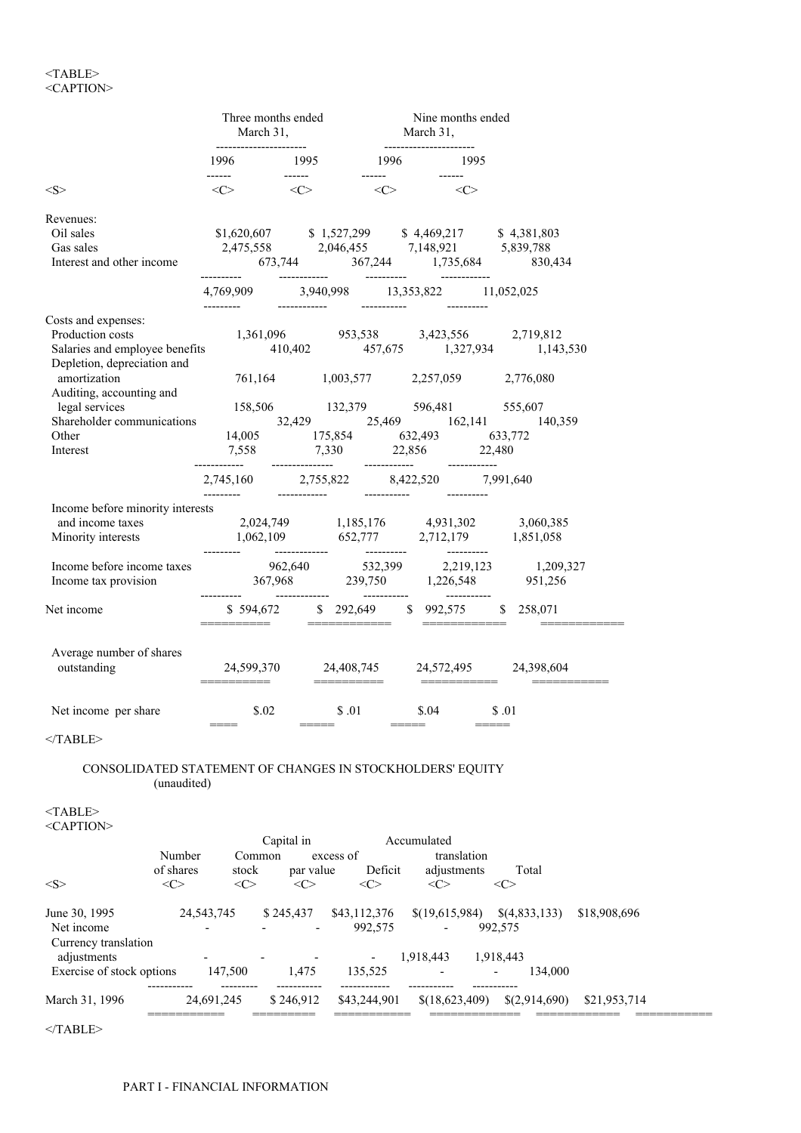# $<$ TABLE $>$ <CAPTION>

|                                                                                                                                                                                                                                                                                                | Three months ended<br>March 31,<br>----------------------- |                                                                                                | March 31,                     | Nine months ended                       |                                                                                                                                                                                                                                                                                                                                                                                                                                                                                        |              |
|------------------------------------------------------------------------------------------------------------------------------------------------------------------------------------------------------------------------------------------------------------------------------------------------|------------------------------------------------------------|------------------------------------------------------------------------------------------------|-------------------------------|-----------------------------------------|----------------------------------------------------------------------------------------------------------------------------------------------------------------------------------------------------------------------------------------------------------------------------------------------------------------------------------------------------------------------------------------------------------------------------------------------------------------------------------------|--------------|
|                                                                                                                                                                                                                                                                                                |                                                            | 1996 1995 1996 1995                                                                            |                               |                                         |                                                                                                                                                                                                                                                                                                                                                                                                                                                                                        |              |
| <s></s>                                                                                                                                                                                                                                                                                        | ------<br>$\langle C \rangle$                              | $\langle C \rangle$ and $\langle C \rangle$                                                    |                               |                                         |                                                                                                                                                                                                                                                                                                                                                                                                                                                                                        |              |
| Revenues:<br>Oil sales<br>Gas sales<br>Interest and other income                                                                                                                                                                                                                               |                                                            | $$1,620,607$ $$1,527,299$ $$4,469,217$ $$4,381,803$<br>2,475,558 2,046,455 7,148,921 5,839,788 |                               |                                         |                                                                                                                                                                                                                                                                                                                                                                                                                                                                                        |              |
|                                                                                                                                                                                                                                                                                                |                                                            | 4,769,909 3,940,998 13,353,822 11,052,025                                                      |                               |                                         |                                                                                                                                                                                                                                                                                                                                                                                                                                                                                        |              |
| Costs and expenses:<br>Production costs<br>Salaries and employee benefits<br>1,361,096<br>410,402<br>1,37,675<br>1,327,934<br>1,143,530<br>2,719,812<br>2,719,812<br>1,143,530<br>2,719,812<br>2,719,812<br>2,11,43530<br>2,11,43530<br>2,11,43530                                             |                                                            |                                                                                                |                               |                                         |                                                                                                                                                                                                                                                                                                                                                                                                                                                                                        |              |
| amortization<br>Auditing, accounting and                                                                                                                                                                                                                                                       |                                                            | 761,164 1,003,577 2,257,059 2,776,080                                                          |                               |                                         |                                                                                                                                                                                                                                                                                                                                                                                                                                                                                        |              |
| 158,506<br>158,506<br>158,506<br>158,506<br>158,506<br>25,429<br>25,469<br>162,141<br>140,359<br>Other<br>14,005<br>1555,607<br>1632,493<br>163,493<br>163,772<br>140,359<br>Interest                                                                                                          |                                                            | 7,558 7,330 22,856 22,480                                                                      |                               |                                         |                                                                                                                                                                                                                                                                                                                                                                                                                                                                                        |              |
|                                                                                                                                                                                                                                                                                                |                                                            | $2,745,160$ $2,755,822$ $8,422,520$ $7,991,640$                                                |                               |                                         |                                                                                                                                                                                                                                                                                                                                                                                                                                                                                        |              |
| Income before minority interests<br>and income taxes<br>and income taxes<br>$2,024,749$<br>$1,185,176$<br>$4,931,302$<br>$3,060,385$<br>$1,062,109$<br>$652,777$<br>$2,712,179$<br>$1,851,058$<br>$3,060,385$<br>$1,851,058$<br>Income before income taxes 962,640 532,399 2,219,123 1,209,327 |                                                            |                                                                                                |                               |                                         |                                                                                                                                                                                                                                                                                                                                                                                                                                                                                        |              |
| Income tax provision 367,968 239,750 1,226,548 951,256                                                                                                                                                                                                                                         |                                                            |                                                                                                |                               |                                         |                                                                                                                                                                                                                                                                                                                                                                                                                                                                                        |              |
| Net income                                                                                                                                                                                                                                                                                     |                                                            |                                                                                                |                               |                                         |                                                                                                                                                                                                                                                                                                                                                                                                                                                                                        |              |
| Average number of shares<br>outstanding                                                                                                                                                                                                                                                        |                                                            |                                                                                                |                               |                                         | $\begin{array}{cccccccccc} \multicolumn{2}{c}{} & \multicolumn{2}{c}{} & \multicolumn{2}{c}{} & \multicolumn{2}{c}{} & \multicolumn{2}{c}{} & \multicolumn{2}{c}{} & \multicolumn{2}{c}{} & \multicolumn{2}{c}{} & \multicolumn{2}{c}{} & \multicolumn{2}{c}{} & \multicolumn{2}{c}{} & \multicolumn{2}{c}{} & \multicolumn{2}{c}{} & \multicolumn{2}{c}{} & \multicolumn{2}{c}{} & \multicolumn{2}{c}{} & \multicolumn{2}{c}{} & \multicolumn{2}{c}{} & \multicolumn{2}{c}{} & \mult$ |              |
| Net income per share                                                                                                                                                                                                                                                                           | \$.02                                                      |                                                                                                |                               | $$.01$ $$.04$ $$.01$                    |                                                                                                                                                                                                                                                                                                                                                                                                                                                                                        |              |
| $<$ /TABLE>                                                                                                                                                                                                                                                                                    |                                                            | $\qquad \qquad \overline{\qquad \qquad }=$                                                     | $=====$                       |                                         |                                                                                                                                                                                                                                                                                                                                                                                                                                                                                        |              |
| CONSOLIDATED STATEMENT OF CHANGES IN STOCKHOLDERS' EQUITY<br>(unaudited)                                                                                                                                                                                                                       |                                                            |                                                                                                |                               |                                         |                                                                                                                                                                                                                                                                                                                                                                                                                                                                                        |              |
| <table><br/><caption></caption></table>                                                                                                                                                                                                                                                        |                                                            |                                                                                                |                               |                                         |                                                                                                                                                                                                                                                                                                                                                                                                                                                                                        |              |
| Number<br>of shares<br>$<\infty$<br>$<\!\!S\!\!>$                                                                                                                                                                                                                                              | Common<br>stock<br>$<\infty$                               | Capital in<br>excess of<br>par value<br>$\langle C \rangle$                                    | Accumulated<br>Deficit<br><<> | translation<br>adjustments<br>$<\infty$ | Total<br>$\langle$ C>                                                                                                                                                                                                                                                                                                                                                                                                                                                                  |              |
| June 30, 1995<br>Net income                                                                                                                                                                                                                                                                    | 24,543,745                                                 | $$245,437$ $$43,112,376$<br>e a contra la                                                      | 992,575 -                     |                                         | $\{(19,615,984) \quad \{(4,833,133) \}$<br>992,575                                                                                                                                                                                                                                                                                                                                                                                                                                     | \$18,908,696 |

Currency translation adjustments - - - - - - 1,918,443 1,918,443 Exercise of stock options 147,500 1,475 135,525 - 134,000 ----------- --------- ----------- ------------ ----------- ----------- March 31, 1996 24,691,245 \$ 246,912 \$43,244,901 \$(18,623,409) \$(2,914,690) \$21,953,714

=========== ========= =========== ============= ============ ===========

 $<$ /TABLE>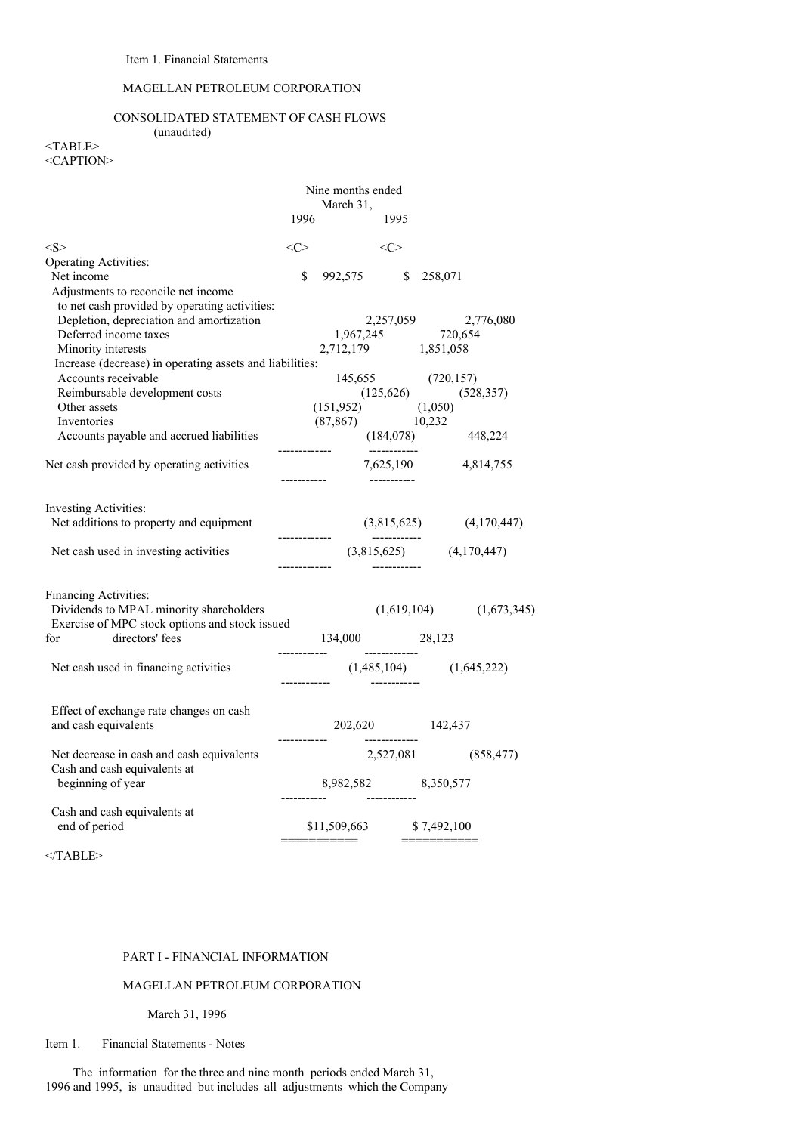# MAGELLAN PETROLEUM CORPORATION

# CONSOLIDATED STATEMENT OF CASH FLOWS (unaudited)

<TABLE> <CAPTION>

|                                                                                                                                  |      | Nine months ended<br>March 31,                                               |                                |              |                             |
|----------------------------------------------------------------------------------------------------------------------------------|------|------------------------------------------------------------------------------|--------------------------------|--------------|-----------------------------|
|                                                                                                                                  | 1996 |                                                                              | 1995                           |              |                             |
| < S >                                                                                                                            |      | $\langle C \rangle$ $\langle C \rangle$                                      |                                |              |                             |
| <b>Operating Activities:</b>                                                                                                     |      |                                                                              |                                |              |                             |
| Net income                                                                                                                       | \$   | 992,575                                                                      | $\mathbb{S}$                   | 258,071      |                             |
| Adjustments to reconcile net income<br>to net cash provided by operating activities:<br>Depletion, depreciation and amortization |      |                                                                              |                                |              | 2,257,059 2,776,080         |
| Deferred income taxes                                                                                                            |      |                                                                              |                                |              |                             |
|                                                                                                                                  |      | $1,967,245$ $720,654$<br>2,712,179 $1,851,058$                               |                                |              |                             |
| Minority interests                                                                                                               |      |                                                                              |                                |              |                             |
| Increase (decrease) in operating assets and liabilities:                                                                         |      |                                                                              |                                |              |                             |
| Accounts receivable                                                                                                              |      |                                                                              |                                |              |                             |
| Reimbursable development costs                                                                                                   |      | $\begin{array}{cc} 145,655 & (720,157) \\ (125,626) & (528,357) \end{array}$ |                                |              |                             |
| Other assets                                                                                                                     |      | $(151,952)$ $(1,050)$<br>$(87,867)$ $10,232$                                 |                                |              |                             |
| Inventories                                                                                                                      |      |                                                                              |                                |              |                             |
| Accounts payable and accrued liabilities                                                                                         |      |                                                                              | -------------                  |              | $(184,078)$ 448,224         |
| Net cash provided by operating activities                                                                                        |      |                                                                              | — 1<br>— <del>1111111111</del> |              | 7,625,190 4,814,755         |
| <b>Investing Activities:</b>                                                                                                     |      |                                                                              |                                |              |                             |
| Net additions to property and equipment                                                                                          |      |                                                                              |                                |              | $(3,815,625)$ $(4,170,447)$ |
| Net cash used in investing activities                                                                                            |      | $(3,815,625)$ $(4,170,447)$                                                  |                                |              |                             |
| Financing Activities:                                                                                                            |      |                                                                              |                                |              |                             |
| Dividends to MPAL minority shareholders<br>Exercise of MPC stock options and stock issued                                        |      |                                                                              |                                |              | $(1,619,104)$ $(1,673,345)$ |
| directors' fees<br>for                                                                                                           |      | 134,000 28,123                                                               |                                |              |                             |
| Net cash used in financing activities                                                                                            |      |                                                                              |                                |              |                             |
| Effect of exchange rate changes on cash<br>and cash equivalents                                                                  |      | 202,620 142,437                                                              |                                |              |                             |
| Net decrease in cash and cash equivalents                                                                                        |      |                                                                              |                                | 2,527,081    | (858, 477)                  |
| Cash and cash equivalents at<br>beginning of year                                                                                |      | $8,982,582 \hspace{1.5cm} 8,350,577$                                         |                                |              |                             |
| Cash and cash equivalents at<br>end of period                                                                                    |      | \$11,509,663 \$7,492,100                                                     |                                |              |                             |
|                                                                                                                                  |      | ——————————                                                                   |                                | ____________ |                             |

 $<$ /TABLE>

# PART I - FINANCIAL INFORMATION

# MAGELLAN PETROLEUM CORPORATION

March 31, 1996

Item 1. Financial Statements - Notes

The information for the three and nine month periods ended March 31, 1996 and 1995, is unaudited but includes all adjustments which the Company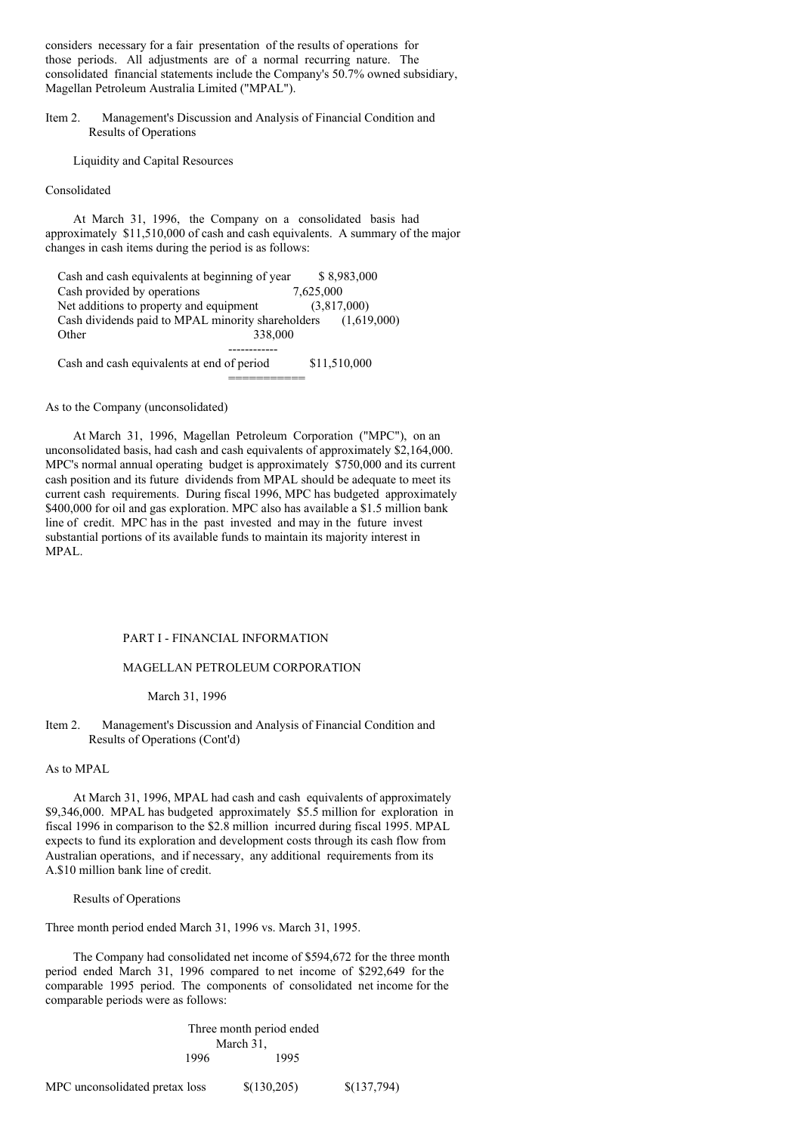considers necessary for a fair presentation of the results of operations for those periods. All adjustments are of a normal recurring nature. The consolidated financial statements include the Company's 50.7% owned subsidiary, Magellan Petroleum Australia Limited ("MPAL").

Item 2. Management's Discussion and Analysis of Financial Condition and Results of Operations

Liquidity and Capital Resources

### Consolidated

At March 31, 1996, the Company on a consolidated basis had approximately \$11,510,000 of cash and cash equivalents. A summary of the major changes in cash items during the period is as follows:

| Cash and cash equivalents at beginning of year    | \$8,983,000  |
|---------------------------------------------------|--------------|
| Cash provided by operations                       | 7.625,000    |
| Net additions to property and equipment           | (3,817,000)  |
| Cash dividends paid to MPAL minority shareholders | (1.619,000)  |
| 338,000<br>Other                                  |              |
|                                                   |              |
| Cash and cash equivalents at end of period        | \$11,510,000 |

As to the Company (unconsolidated)

At March 31, 1996, Magellan Petroleum Corporation ("MPC"), on an unconsolidated basis, had cash and cash equivalents of approximately \$2,164,000. MPC's normal annual operating budget is approximately \$750,000 and its current cash position and its future dividends from MPAL should be adequate to meet its current cash requirements. During fiscal 1996, MPC has budgeted approximately \$400,000 for oil and gas exploration. MPC also has available a \$1.5 million bank line of credit. MPC has in the past invested and may in the future invest substantial portions of its available funds to maintain its majority interest in MPAL.

===========

# PART I - FINANCIAL INFORMATION

# MAGELLAN PETROLEUM CORPORATION

March 31, 1996

## Item 2. Management's Discussion and Analysis of Financial Condition and Results of Operations (Cont'd)

#### As to MPAL

At March 31, 1996, MPAL had cash and cash equivalents of approximately \$9,346,000. MPAL has budgeted approximately \$5.5 million for exploration in fiscal 1996 in comparison to the \$2.8 million incurred during fiscal 1995. MPAL expects to fund its exploration and development costs through its cash flow from Australian operations, and if necessary, any additional requirements from its A.\$10 million bank line of credit.

## Results of Operations

Three month period ended March 31, 1996 vs. March 31, 1995.

The Company had consolidated net income of \$594,672 for the three month period ended March 31, 1996 compared to net income of \$292,649 for the comparable 1995 period. The components of consolidated net income for the comparable periods were as follows:

> Three month period ended March 31, 1996 1995

MPC unconsolidated pretax loss  $\{(130,205)\}\$   $\{(137,794)\}$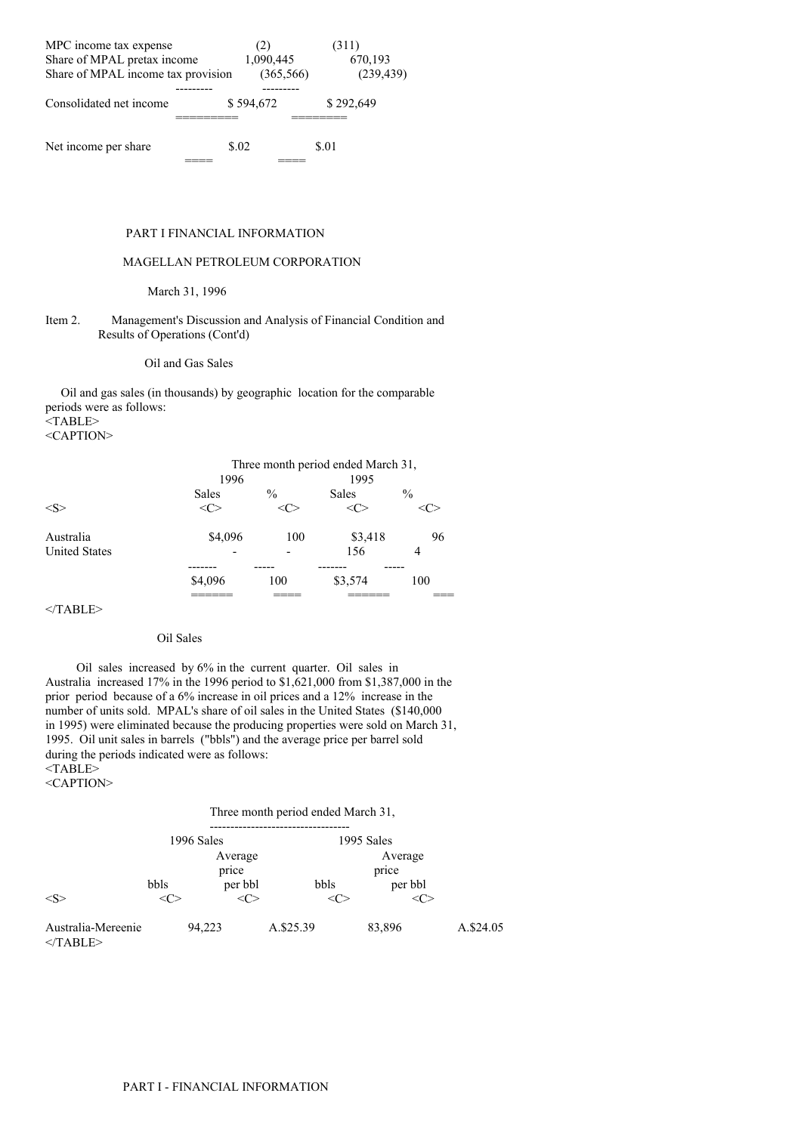| MPC income tax expense             | (2)        | (311)      |
|------------------------------------|------------|------------|
| Share of MPAL pretax income        | 1,090,445  | 670,193    |
| Share of MPAL income tax provision | (365, 566) | (239, 439) |
|                                    |            |            |
| Consolidated net income            | \$594,672  | \$292,649  |
|                                    |            |            |
|                                    |            |            |
| Net income per share               | \$.02      | \$.01      |
|                                    |            |            |

# PART I FINANCIAL INFORMATION

# MAGELLAN PETROLEUM CORPORATION

# March 31, 1996

## Item 2. Management's Discussion and Analysis of Financial Condition and Results of Operations (Cont'd)

# Oil and Gas Sales

Oil and gas sales (in thousands) by geographic location for the comparable periods were as follows:  $\overline{\text{STABLE}}$ 

<CAPTION>

|                      | 1996                                       |               | Three month period ended March 31,<br>1995 |               |
|----------------------|--------------------------------------------|---------------|--------------------------------------------|---------------|
|                      | <b>Sales</b>                               | $\frac{0}{0}$ | Sales                                      | $\frac{0}{0}$ |
| < S >                | <c< th=""><th></th><th></th><th></th></c<> |               |                                            |               |
| Australia            | \$4,096                                    | 100           | \$3,418                                    | 96            |
| <b>United States</b> |                                            |               | 156                                        | 4             |
|                      |                                            |               |                                            |               |
|                      | \$4,096                                    | 100           | \$3,574                                    | 100           |
|                      |                                            |               |                                            |               |

 $<$ /TABLE>

### Oil Sales

Oil sales increased by 6% in the current quarter. Oil sales in Australia increased 17% in the 1996 period to \$1,621,000 from \$1,387,000 in the prior period because of a 6% increase in oil prices and a 12% increase in the number of units sold. MPAL's share of oil sales in the United States (\$140,000 in 1995) were eliminated because the producing properties were sold on March 31, 1995. Oil unit sales in barrels ("bbls") and the average price per barrel sold during the periods indicated were as follows: <TABLE> <CAPTION>

Three month period ended March 31,

|                                  |              | 1996 Sales |           | 1995 Sales |           |  |
|----------------------------------|--------------|------------|-----------|------------|-----------|--|
|                                  |              | Average    |           | Average    |           |  |
|                                  |              | price      |           | price      |           |  |
|                                  | bbls         | per bbl    | bbls      |            | per bbl   |  |
| $<\leq>$                         | $\langle$ C> | <c></c>    |           | <( ∵       |           |  |
| Australia-Mereenie<br>$<$ TABLE> |              | 94,223     | A.\$25.39 | 83,896     | A.\$24.05 |  |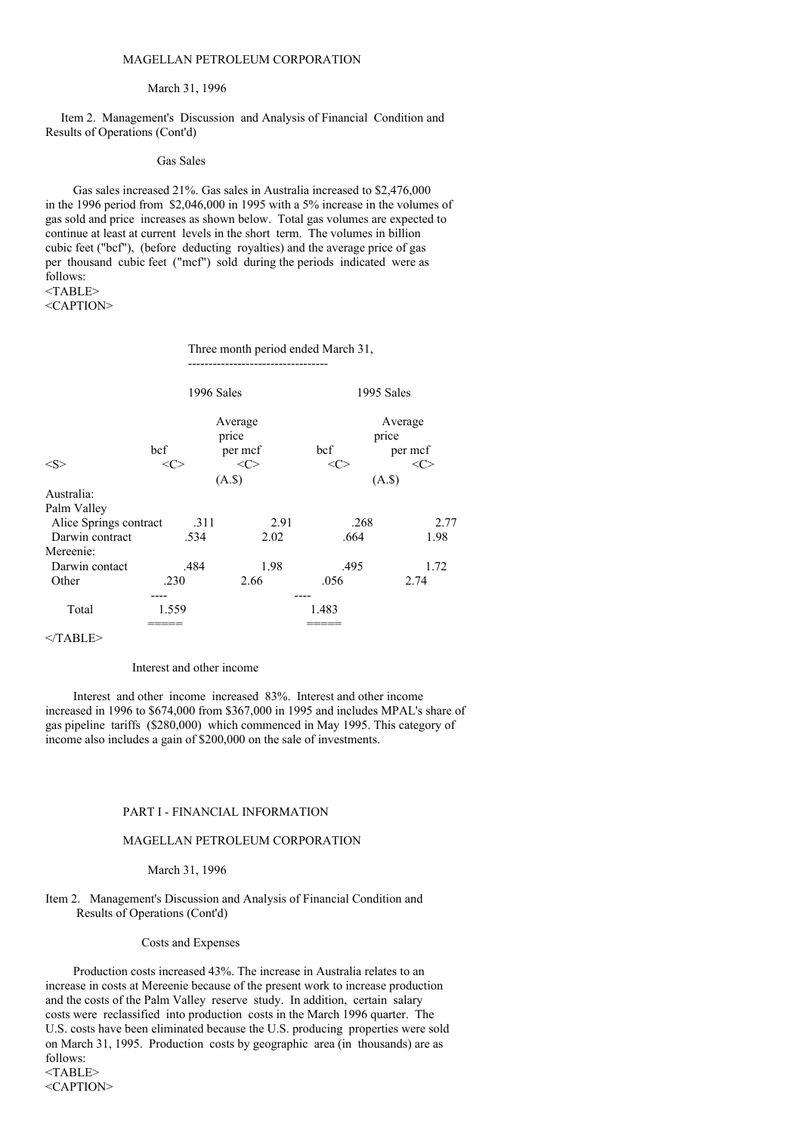#### March 31, 1996

Item 2. Management's Discussion and Analysis of Financial Condition and Results of Operations (Cont'd)

#### Gas Sales

Gas sales increased 21%. Gas sales in Australia increased to \$2,476,000 in the 1996 period from \$2,046,000 in 1995 with a 5% increase in the volumes of gas sold and price increases as shown below. Total gas volumes are expected to continue at least at current levels in the short term. The volumes in billion cubic feet ("bcf"), (before deducting royalties) and the average price of gas per thousand cubic feet ("mcf") sold during the periods indicated were as follows:

<CAPTION>

### Three month period ended March 31,

----------------------------------

|                        | 1996 Sales |      |               | 1995 Sales |               |  |
|------------------------|------------|------|---------------|------------|---------------|--|
|                        | Average    |      |               | Average    |               |  |
|                        |            |      | price         |            | price         |  |
|                        | bcf        |      | per mcf       | bcf        | per mcf       |  |
| <s></s>                | <c></c>    |      | $<\!\!C\!\!>$ | <c></c>    | $<\!\!C\!\!>$ |  |
|                        |            |      | $(A.\$)$      |            | $(A.$ \$      |  |
| Australia:             |            |      |               |            |               |  |
| Palm Valley            |            |      |               |            |               |  |
| Alice Springs contract |            | .311 | 2.91          | .268       | 2.77          |  |
| Darwin contract        |            | .534 | 2.02          | .664       | 1.98          |  |
| Mereenie:              |            |      |               |            |               |  |
| Darwin contact         |            | .484 | 1.98          | .495       | 1.72          |  |
| Other                  | .230       |      | 2.66          | .056       | 2.74          |  |
|                        |            |      |               |            |               |  |
| Total                  | 1.559      |      |               | 1.483      |               |  |
|                        |            |      |               |            |               |  |

</TABLE>

#### Interest and other income

Interest and other income increased 83%. Interest and other income increased in 1996 to \$674,000 from \$367,000 in 1995 and includes MPAL's share of gas pipeline tariffs (\$280,000) which commenced in May 1995. This category of income also includes a gain of \$200,000 on the sale of investments.

#### PART I - FINANCIAL INFORMATION

#### MAGELLAN PETROLEUM CORPORATION

#### March 31, 1996

# Item 2. Management's Discussion and Analysis of Financial Condition and Results of Operations (Cont'd)

### Costs and Expenses

Production costs increased 43%. The increase in Australia relates to an increase in costs at Mereenie because of the present work to increase production and the costs of the Palm Valley reserve study. In addition, certain salary costs were reclassified into production costs in the March 1996 quarter. The U.S. costs have been eliminated because the U.S. producing properties were sold on March 31, 1995. Production costs by geographic area (in thousands) are as follows: <TABLE> <CAPTION>

<sup>&</sup>lt;TABLE>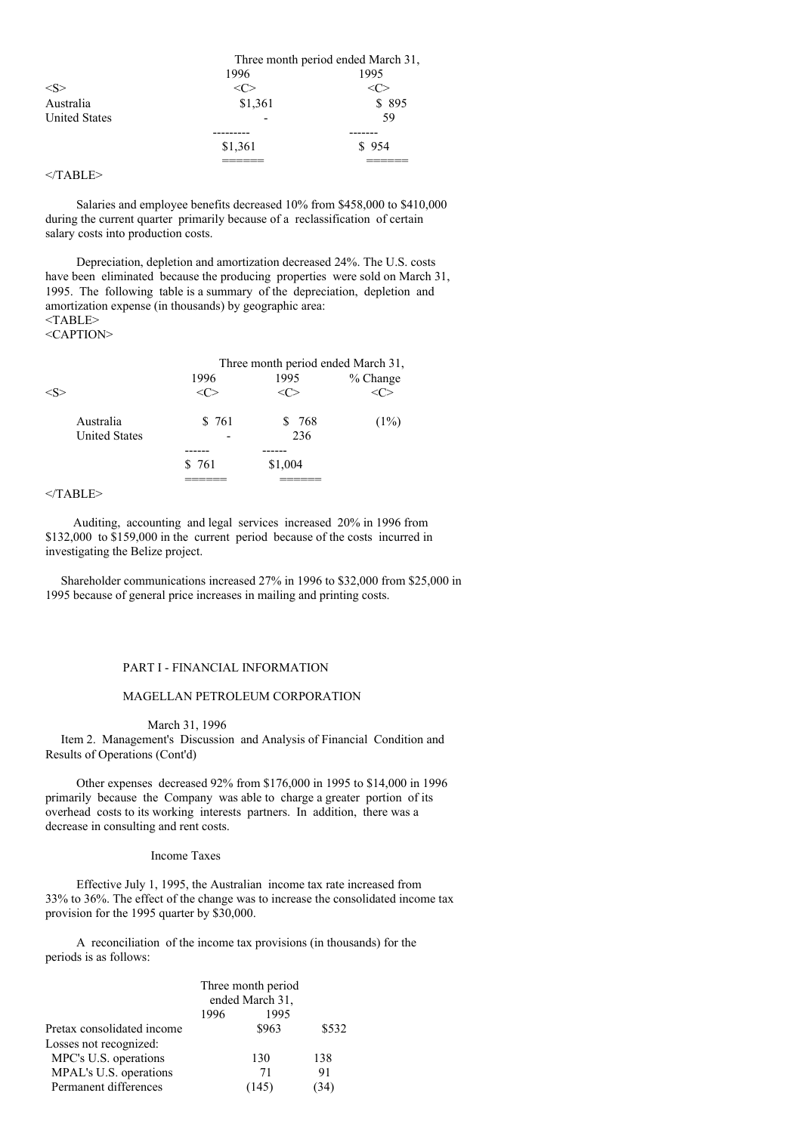|                      |         | Three month period ended March 31, |
|----------------------|---------|------------------------------------|
|                      | 1996    | 1995                               |
| $<\!\!S\!\!>$        |         |                                    |
| Australia            | \$1,361 | \$895                              |
| <b>United States</b> |         | 59                                 |
|                      |         |                                    |
|                      | \$1,361 | \$954                              |
|                      |         |                                    |

# $<$ /TABLE>

Salaries and employee benefits decreased 10% from \$458,000 to \$410,000 during the current quarter primarily because of a reclassification of certain salary costs into production costs.

Depreciation, depletion and amortization decreased 24%. The U.S. costs have been eliminated because the producing properties were sold on March 31, 1995. The following table is a summary of the depreciation, depletion and amortization expense (in thousands) by geographic area: <TABLE>

| <caption></caption> |  |
|---------------------|--|
|---------------------|--|

|                      | Three month period ended March 31, |  |         |          |  |  |
|----------------------|------------------------------------|--|---------|----------|--|--|
|                      | 1996                               |  | 1995    | % Change |  |  |
|                      |                                    |  |         |          |  |  |
| Australia            | \$761                              |  | \$ 768  | (1%)     |  |  |
| <b>United States</b> |                                    |  | 236     |          |  |  |
|                      |                                    |  |         |          |  |  |
|                      | \$761                              |  | \$1,004 |          |  |  |
|                      |                                    |  |         |          |  |  |

# $<$ /TABLE>

Auditing, accounting and legal services increased 20% in 1996 from \$132,000 to \$159,000 in the current period because of the costs incurred in investigating the Belize project.

Shareholder communications increased 27% in 1996 to \$32,000 from \$25,000 in 1995 because of general price increases in mailing and printing costs.

### PART I - FINANCIAL INFORMATION

# MAGELLAN PETROLEUM CORPORATION

#### March 31, 1996

Item 2. Management's Discussion and Analysis of Financial Condition and Results of Operations (Cont'd)

Other expenses decreased 92% from \$176,000 in 1995 to \$14,000 in 1996 primarily because the Company was able to charge a greater portion of its overhead costs to its working interests partners. In addition, there was a decrease in consulting and rent costs.

# Income Taxes

Effective July 1, 1995, the Australian income tax rate increased from 33% to 36%. The effect of the change was to increase the consolidated income tax provision for the 1995 quarter by \$30,000.

A reconciliation of the income tax provisions (in thousands) for the periods is as follows:

|                            | Three month period |       |       |  |  |
|----------------------------|--------------------|-------|-------|--|--|
|                            | ended March 31,    |       |       |  |  |
|                            | 1996               |       |       |  |  |
| Pretax consolidated income |                    | \$963 | \$532 |  |  |
| Losses not recognized:     |                    |       |       |  |  |
| MPC's U.S. operations      |                    | 130   | 138   |  |  |
| MPAL's U.S. operations     |                    | 71    | 91    |  |  |
| Permanent differences      |                    | (145) | 34)   |  |  |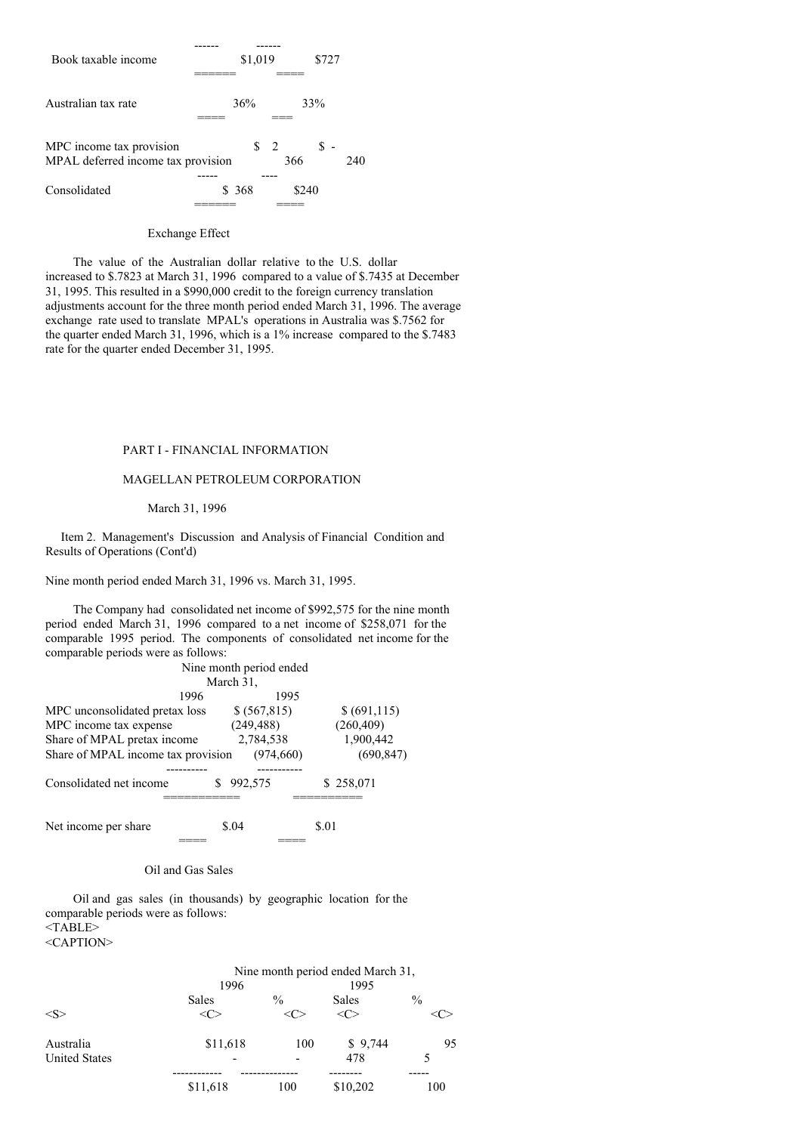

### Exchange Effect

The value of the Australian dollar relative to the U.S. dollar increased to \$.7823 at March 31, 1996 compared to a value of \$.7435 at December 31, 1995. This resulted in a \$990,000 credit to the foreign currency translation adjustments account for the three month period ended March 31, 1996. The average exchange rate used to translate MPAL's operations in Australia was \$.7562 for the quarter ended March 31, 1996, which is a 1% increase compared to the \$.7483 rate for the quarter ended December 31, 1995.

# PART I - FINANCIAL INFORMATION

### MAGELLAN PETROLEUM CORPORATION

#### March 31, 1996

Item 2. Management's Discussion and Analysis of Financial Condition and Results of Operations (Cont'd)

Nine month period ended March 31, 1996 vs. March 31, 1995.

The Company had consolidated net income of \$992,575 for the nine month period ended March 31, 1996 compared to a net income of \$258,071 for the comparable 1995 period. The components of consolidated net income for the comparable periods were as follows:

|                                    | Nine month period ended |               |
|------------------------------------|-------------------------|---------------|
|                                    | March 31,               |               |
| 1996                               | 1995                    |               |
| MPC unconsolidated pretax loss     | \$ (567, 815)           | \$ (691, 115) |
| MPC income tax expense             | (249, 488)              | (260, 409)    |
| Share of MPAL pretax income        | 2,784,538               | 1,900,442     |
| Share of MPAL income tax provision | (974, 660)              | (690, 847)    |
|                                    |                         |               |
| Consolidated net income            | 992,575                 | \$258,071     |
|                                    |                         |               |
| Net income per share               | \$.04                   | \$.01         |
|                                    |                         |               |

#### Oil and Gas Sales

Oil and gas sales (in thousands) by geographic location for the comparable periods were as follows: <TABLE>

<CAPTION>

|                      | Nine month period ended March 31, |                          |                     |               |
|----------------------|-----------------------------------|--------------------------|---------------------|---------------|
|                      | 1996                              |                          | 1995                |               |
|                      | Sales                             | $\frac{0}{0}$            | <b>Sales</b>        | $\frac{0}{0}$ |
| $<\leq>$             |                                   |                          | $\langle C \rangle$ |               |
| Australia            | \$11,618                          | 100                      | \$9,744             | 95            |
| <b>United States</b> |                                   | $\overline{\phantom{0}}$ | 478                 |               |
|                      |                                   |                          |                     |               |
|                      | \$11,618                          | 100                      | \$10,202            | 100           |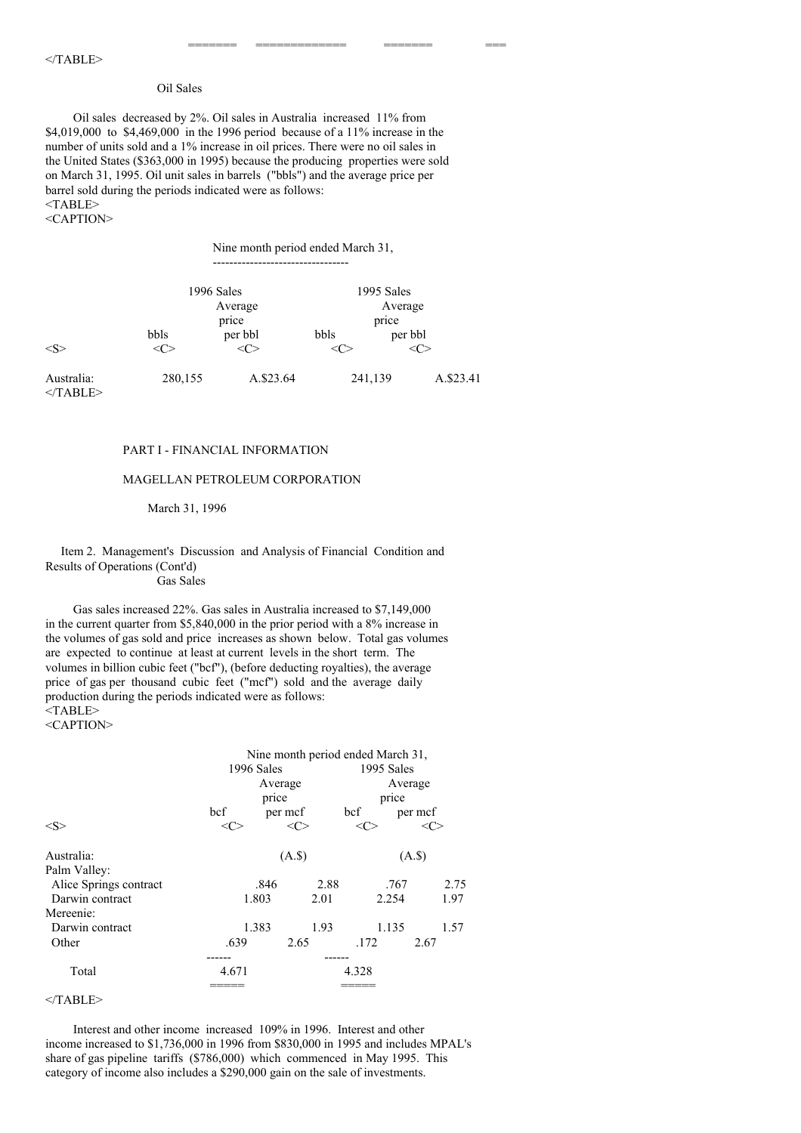# Oil Sales

Oil sales decreased by 2%. Oil sales in Australia increased 11% from \$4,019,000 to \$4,469,000 in the 1996 period because of a 11% increase in the number of units sold and a 1% increase in oil prices. There were no oil sales in the United States (\$363,000 in 1995) because the producing properties were sold on March 31, 1995. Oil unit sales in barrels ("bbls") and the average price per barrel sold during the periods indicated were as follows: <TABLE>

<CAPTION>

Nine month period ended March 31,

---------------------------------

======= ============= ======= ===

|                          | 1996 Sales<br>Average       |                              | 1995 Sales<br>Average |                                         |           |
|--------------------------|-----------------------------|------------------------------|-----------------------|-----------------------------------------|-----------|
| <s></s>                  | bbls<br>$\langle C \rangle$ | price<br>per bbl<br>$\leq C$ | bbls<br><( ∷          | price<br>per bbl<br>$\langle C \rangle$ |           |
| Australia:<br>$<$ TABLE> | 280,155                     | A.\$23.64                    | 241,139               |                                         | A.\$23.41 |

PART I - FINANCIAL INFORMATION

#### MAGELLAN PETROLEUM CORPORATION

#### March 31, 1996

# Item 2. Management's Discussion and Analysis of Financial Condition and Results of Operations (Cont'd)

Gas Sales

Gas sales increased 22%. Gas sales in Australia increased to \$7,149,000 in the current quarter from \$5,840,000 in the prior period with a 8% increase in the volumes of gas sold and price increases as shown below. Total gas volumes are expected to continue at least at current levels in the short term. The volumes in billion cubic feet ("bcf"), (before deducting royalties), the average price of gas per thousand cubic feet ("mcf") sold and the average daily production during the periods indicated were as follows: <TABLE>

<CAPTION>

|                        | Nine month period ended March 31, |          |            |       |          |
|------------------------|-----------------------------------|----------|------------|-------|----------|
|                        | 1996 Sales                        |          | 1995 Sales |       |          |
|                        |                                   | Average  |            |       | Average  |
|                        |                                   | price    |            | price |          |
|                        | bcf                               | per mcf  |            | bcf   | per mcf  |
| <s></s>                | <ো                                | <<>      |            |       | <c></c>  |
| Australia:             |                                   | $(A.\$)$ |            |       | $(A.$ \$ |
| Palm Valley:           |                                   |          |            |       |          |
| Alice Springs contract |                                   | .846     | 2.88       | .767  | 2.75     |
| Darwin contract        |                                   | 1.803    | 2.01       | 2.254 | 1.97     |
| Mereenie:              |                                   |          |            |       |          |
| Darwin contract        |                                   | 1.383    | 1.93       | 1.135 | 1.57     |
| Other                  | .639                              | 2.65     |            | .172  | 2.67     |
|                        |                                   |          | ------     |       |          |
| Total                  | 4.671                             |          |            | 4.328 |          |
|                        |                                   |          |            |       |          |

 $<$ /TABLE>

Interest and other income increased 109% in 1996. Interest and other income increased to \$1,736,000 in 1996 from \$830,000 in 1995 and includes MPAL's share of gas pipeline tariffs (\$786,000) which commenced in May 1995. This category of income also includes a \$290,000 gain on the sale of investments.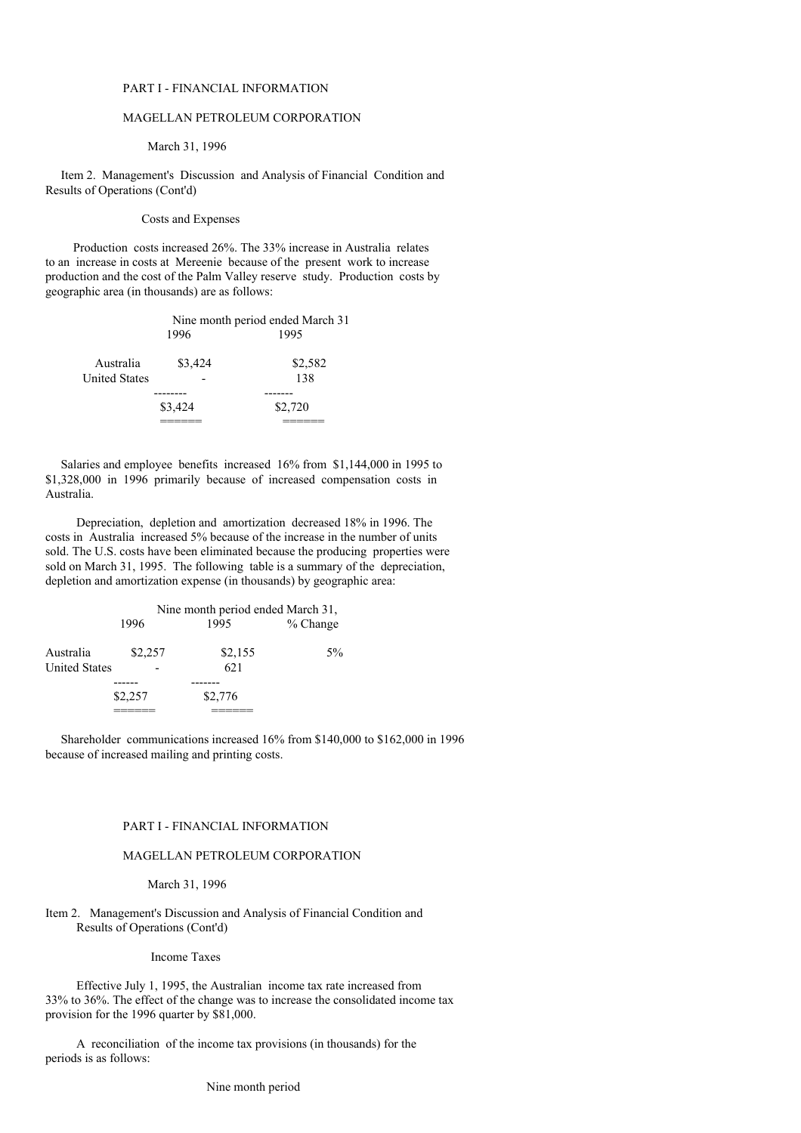### PART I - FINANCIAL INFORMATION

# MAGELLAN PETROLEUM CORPORATION

#### March 31, 1996

Item 2. Management's Discussion and Analysis of Financial Condition and Results of Operations (Cont'd)

#### Costs and Expenses

Production costs increased 26%. The 33% increase in Australia relates to an increase in costs at Mereenie because of the present work to increase production and the cost of the Palm Valley reserve study. Production costs by geographic area (in thousands) are as follows:

|               | Nine month period ended March 31 |         |
|---------------|----------------------------------|---------|
|               | 1996                             | 1995    |
| Australia     | \$3,424                          | \$2,582 |
| United States |                                  | 138     |
|               |                                  |         |
|               | \$3,424                          | \$2,720 |
|               |                                  |         |

Salaries and employee benefits increased 16% from \$1,144,000 in 1995 to \$1,328,000 in 1996 primarily because of increased compensation costs in Australia.

Depreciation, depletion and amortization decreased 18% in 1996. The costs in Australia increased 5% because of the increase in the number of units sold. The U.S. costs have been eliminated because the producing properties were sold on March 31, 1995. The following table is a summary of the depreciation, depletion and amortization expense (in thousands) by geographic area:

|                                   | Nine month period ended March 31, |                |            |
|-----------------------------------|-----------------------------------|----------------|------------|
|                                   | 1996                              | 1995           | $%$ Change |
| Australia<br><b>United States</b> | \$2,257                           | \$2,155<br>621 | $5\%$      |
|                                   |                                   |                |            |
|                                   | \$2,257                           | \$2,776        |            |
|                                   |                                   |                |            |

Shareholder communications increased 16% from \$140,000 to \$162,000 in 1996 because of increased mailing and printing costs.

### PART I - FINANCIAL INFORMATION

### MAGELLAN PETROLEUM CORPORATION

#### March 31, 1996

# Item 2. Management's Discussion and Analysis of Financial Condition and Results of Operations (Cont'd)

Income Taxes

Effective July 1, 1995, the Australian income tax rate increased from 33% to 36%. The effect of the change was to increase the consolidated income tax provision for the 1996 quarter by \$81,000.

A reconciliation of the income tax provisions (in thousands) for the periods is as follows: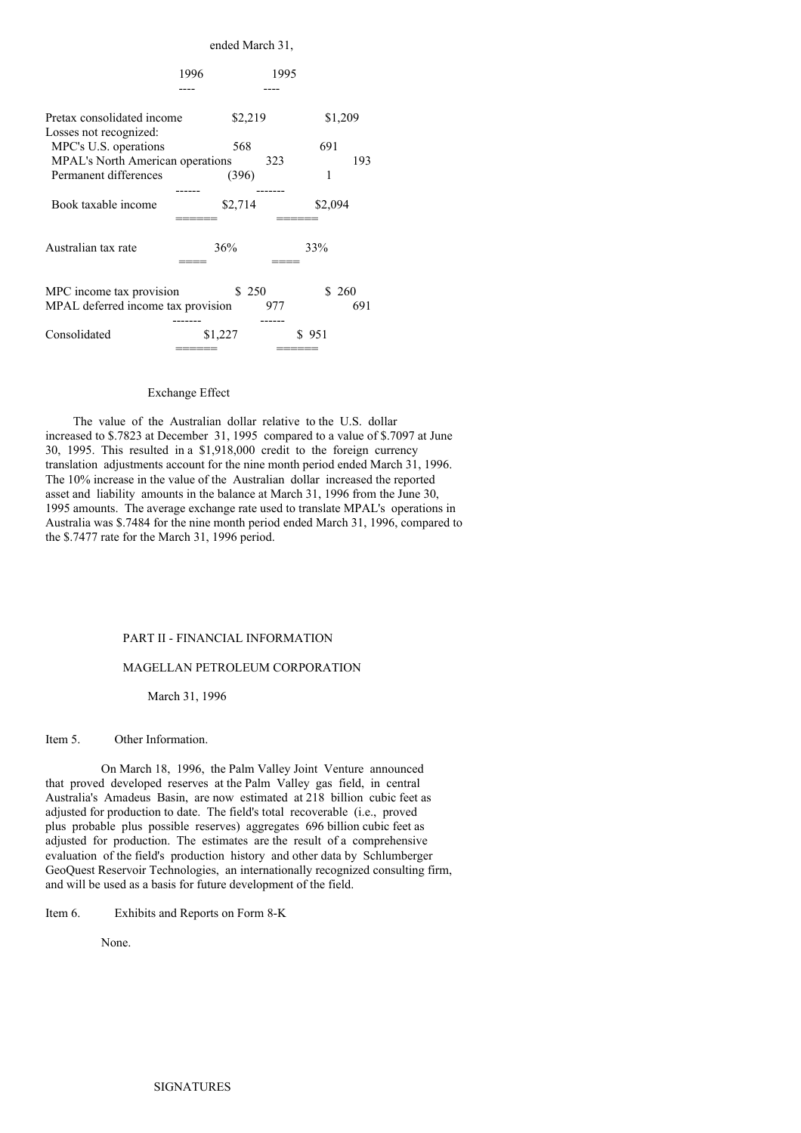|                                                                | ended March 31, |       |              |
|----------------------------------------------------------------|-----------------|-------|--------------|
|                                                                | 1996            | 1995  |              |
|                                                                |                 |       |              |
| Pretax consolidated income<br>Losses not recognized:           | \$2,219         |       | \$1,209      |
| MPC's U.S. operations                                          | 568             |       | 691          |
| <b>MPAL's North American operations</b>                        |                 | 323   | 193          |
| Permanent differences                                          | (396)           |       | 1            |
| Book taxable income                                            | \$2,714         |       | \$2,094      |
| Australian tax rate                                            | 36%             | 33%   |              |
| MPC income tax provision<br>MPAL deferred income tax provision | \$250           | 977   | \$260<br>691 |
| Consolidated                                                   | \$1,227         | \$951 |              |

## Exchange Effect

The value of the Australian dollar relative to the U.S. dollar increased to \$.7823 at December 31, 1995 compared to a value of \$.7097 at June 30, 1995. This resulted in a \$1,918,000 credit to the foreign currency translation adjustments account for the nine month period ended March 31, 1996. The 10% increase in the value of the Australian dollar increased the reported asset and liability amounts in the balance at March 31, 1996 from the June 30, 1995 amounts. The average exchange rate used to translate MPAL's operations in Australia was \$.7484 for the nine month period ended March 31, 1996, compared to the \$.7477 rate for the March 31, 1996 period.

### PART II - FINANCIAL INFORMATION

### MAGELLAN PETROLEUM CORPORATION

March 31, 1996

#### Item 5. Other Information.

On March 18, 1996, the Palm Valley Joint Venture announced that proved developed reserves at the Palm Valley gas field, in central Australia's Amadeus Basin, are now estimated at 218 billion cubic feet as adjusted for production to date. The field's total recoverable (i.e., proved plus probable plus possible reserves) aggregates 696 billion cubic feet as adjusted for production. The estimates are the result of a comprehensive evaluation of the field's production history and other data by Schlumberger GeoQuest Reservoir Technologies, an internationally recognized consulting firm, and will be used as a basis for future development of the field.

Item 6. Exhibits and Reports on Form 8-K

None.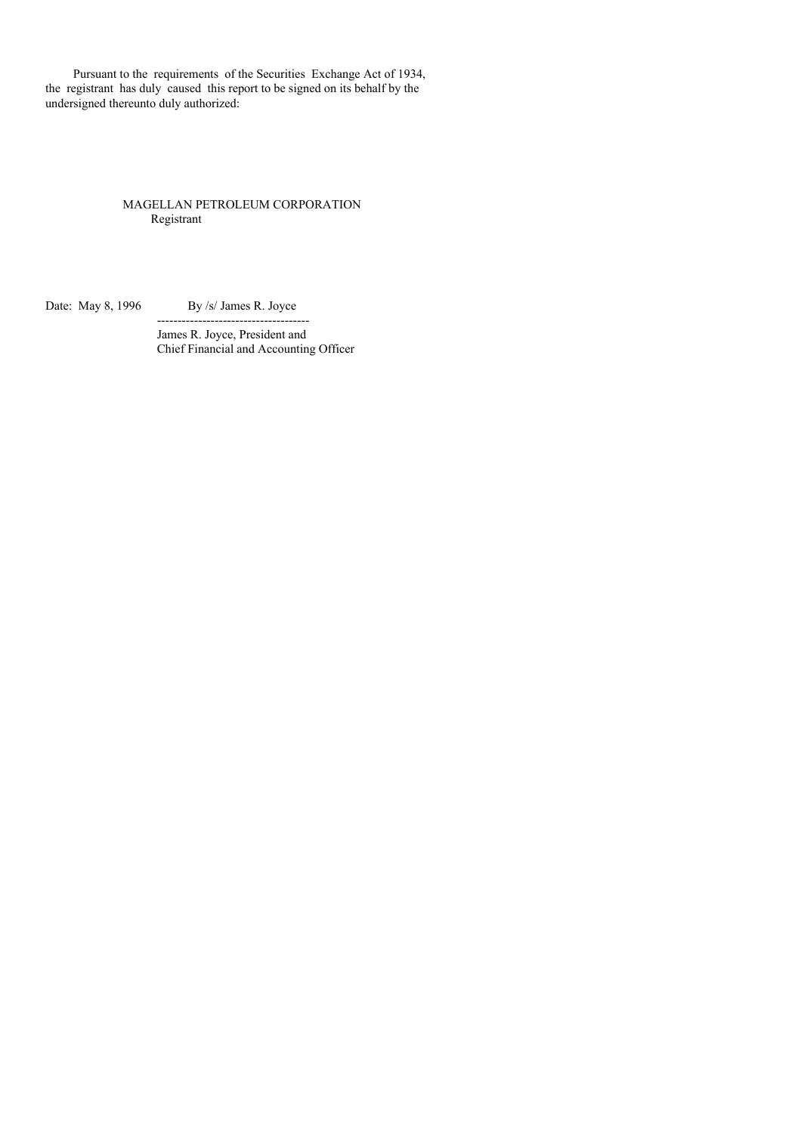Pursuant to the requirements of the Securities Exchange Act of 1934, the registrant has duly caused this report to be signed on its behalf by the undersigned thereunto duly authorized:

# MAGELLAN PETROLEUM CORPORATION Registrant

Date: May 8, 1996 By /s/ James R. Joyce

-------------------------------------

James R. Joyce, President and Chief Financial and Accounting Officer